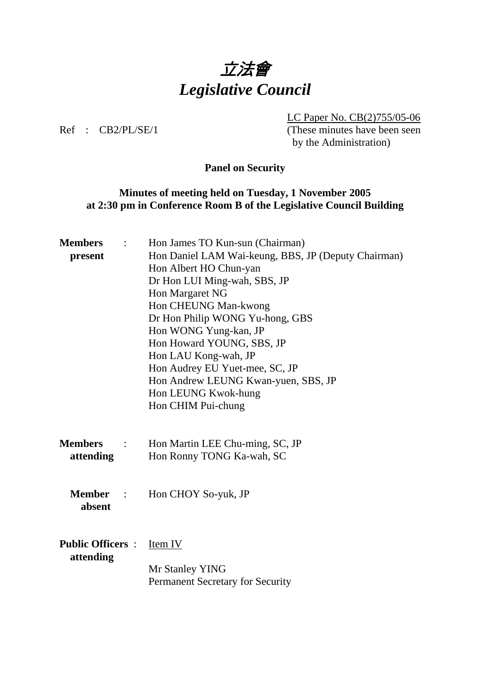

 LC Paper No. CB(2)755/05-06 Ref : CB2/PL/SE/1 (These minutes have been seen by the Administration)

# **Panel on Security**

# **Minutes of meeting held on Tuesday, 1 November 2005 at 2:30 pm in Conference Room B of the Legislative Council Building**

| <b>Members</b><br>$\mathcal{L}$  | Hon James TO Kun-sun (Chairman)                     |
|----------------------------------|-----------------------------------------------------|
| present                          | Hon Daniel LAM Wai-keung, BBS, JP (Deputy Chairman) |
|                                  | Hon Albert HO Chun-yan                              |
|                                  | Dr Hon LUI Ming-wah, SBS, JP                        |
|                                  | Hon Margaret NG                                     |
|                                  | Hon CHEUNG Man-kwong                                |
|                                  | Dr Hon Philip WONG Yu-hong, GBS                     |
|                                  | Hon WONG Yung-kan, JP                               |
|                                  | Hon Howard YOUNG, SBS, JP                           |
|                                  | Hon LAU Kong-wah, JP                                |
|                                  | Hon Audrey EU Yuet-mee, SC, JP                      |
|                                  | Hon Andrew LEUNG Kwan-yuen, SBS, JP                 |
|                                  | Hon LEUNG Kwok-hung                                 |
|                                  | Hon CHIM Pui-chung                                  |
|                                  |                                                     |
|                                  |                                                     |
| <b>Members</b><br>$\mathbb{R}^n$ | Hon Martin LEE Chu-ming, SC, JP                     |
| attending                        | Hon Ronny TONG Ka-wah, SC                           |
|                                  |                                                     |
|                                  |                                                     |
| <b>Member</b> :                  | Hon CHOY So-yuk, JP                                 |
| absent                           |                                                     |
|                                  |                                                     |
| <b>Public Officers:</b>          | Item IV                                             |
| attending                        |                                                     |
|                                  | Mr Stanley YING                                     |
|                                  | Permanent Secretary for Security                    |
|                                  |                                                     |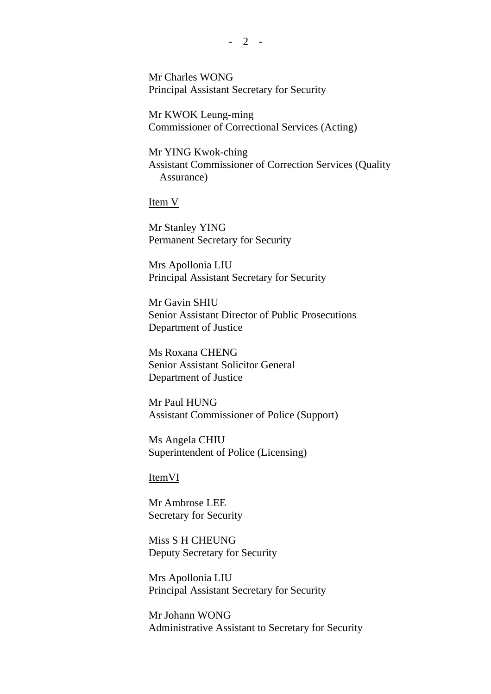Mr Charles WONG Principal Assistant Secretary for Security

 Mr KWOK Leung-ming Commissioner of Correctional Services (Acting)

 Mr YING Kwok-ching Assistant Commissioner of Correction Services (Quality Assurance)

Item V

 Mr Stanley YING Permanent Secretary for Security

 Mrs Apollonia LIU Principal Assistant Secretary for Security

 Mr Gavin SHIU Senior Assistant Director of Public Prosecutions Department of Justice

 Ms Roxana CHENG Senior Assistant Solicitor General Department of Justice

 Mr Paul HUNG Assistant Commissioner of Police (Support)

 Ms Angela CHIU Superintendent of Police (Licensing)

ItemVI

 Mr Ambrose LEE Secretary for Security

 Miss S H CHEUNG Deputy Secretary for Security

 Mrs Apollonia LIU Principal Assistant Secretary for Security

 Mr Johann WONG Administrative Assistant to Secretary for Security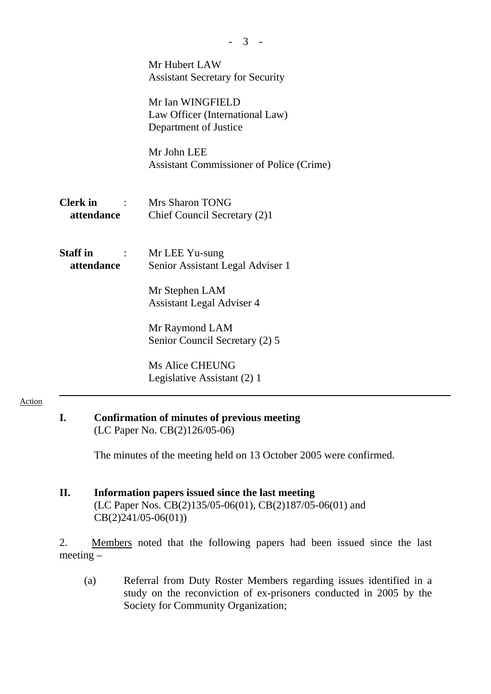| Mr Hubert LAW<br><b>Assistant Secretary for Security</b><br>Mr Ian WINGFIELD<br>Law Officer (International Law)<br>Department of Justice                                                                              |
|-----------------------------------------------------------------------------------------------------------------------------------------------------------------------------------------------------------------------|
| Mr John LEE<br><b>Assistant Commissioner of Police (Crime)</b>                                                                                                                                                        |
| <b>Clerk in : Mrs Sharon TONG</b><br>attendance<br>Chief Council Secretary (2)1                                                                                                                                       |
| Mr LEE Yu-sung<br>Senior Assistant Legal Adviser 1<br>Mr Stephen LAM<br><b>Assistant Legal Adviser 4</b><br>Mr Raymond LAM<br>Senior Council Secretary (2) 5<br><b>Ms Alice CHEUNG</b><br>Legislative Assistant (2) 1 |
|                                                                                                                                                                                                                       |

- 3 -

# **I. Confirmation of minutes of previous meeting**  (LC Paper No. CB(2)126/05-06)

Action

The minutes of the meeting held on 13 October 2005 were confirmed.

# **II. Information papers issued since the last meeting**  (LC Paper Nos. CB(2)135/05-06(01), CB(2)187/05-06(01) and CB(2)241/05-06(01))

2. Members noted that the following papers had been issued since the last meeting –

(a) Referral from Duty Roster Members regarding issues identified in a study on the reconviction of ex-prisoners conducted in 2005 by the Society for Community Organization;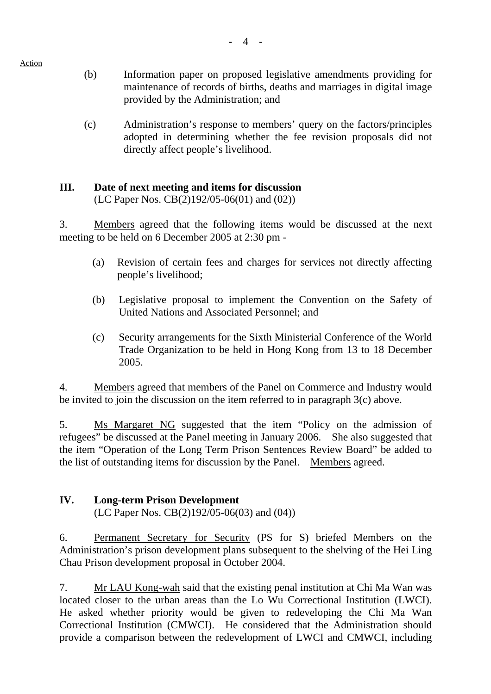# (b) Information paper on proposed legislative amendments providing for maintenance of records of births, deaths and marriages in digital image provided by the Administration; and

(c) Administration's response to members' query on the factors/principles adopted in determining whether the fee revision proposals did not directly affect people's livelihood.

# **III. Date of next meeting and items for discussion**

(LC Paper Nos. CB(2)192/05-06(01) and (02))

3. Members agreed that the following items would be discussed at the next meeting to be held on 6 December 2005 at 2:30 pm -

- (a) Revision of certain fees and charges for services not directly affecting people's livelihood;
- (b) Legislative proposal to implement the Convention on the Safety of United Nations and Associated Personnel; and
- (c) Security arrangements for the Sixth Ministerial Conference of the World Trade Organization to be held in Hong Kong from 13 to 18 December 2005.

4. Members agreed that members of the Panel on Commerce and Industry would be invited to join the discussion on the item referred to in paragraph 3(c) above.

5. Ms Margaret NG suggested that the item "Policy on the admission of refugees" be discussed at the Panel meeting in January 2006. She also suggested that the item "Operation of the Long Term Prison Sentences Review Board" be added to the list of outstanding items for discussion by the Panel. Members agreed.

# **IV. Long-term Prison Development**

(LC Paper Nos. CB(2)192/05-06(03) and (04))

6. Permanent Secretary for Security (PS for S) briefed Members on the Administration's prison development plans subsequent to the shelving of the Hei Ling Chau Prison development proposal in October 2004.

7. Mr LAU Kong-wah said that the existing penal institution at Chi Ma Wan was located closer to the urban areas than the Lo Wu Correctional Institution (LWCI). He asked whether priority would be given to redeveloping the Chi Ma Wan Correctional Institution (CMWCI). He considered that the Administration should provide a comparison between the redevelopment of LWCI and CMWCI, including

Action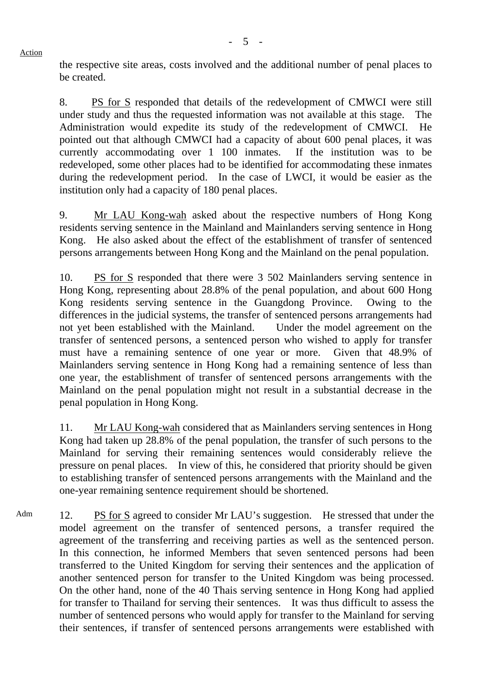the respective site areas, costs involved and the additional number of penal places to be created.

8. PS for S responded that details of the redevelopment of CMWCI were still under study and thus the requested information was not available at this stage. The Administration would expedite its study of the redevelopment of CMWCI. He pointed out that although CMWCI had a capacity of about 600 penal places, it was currently accommodating over 1 100 inmates. If the institution was to be redeveloped, some other places had to be identified for accommodating these inmates during the redevelopment period. In the case of LWCI, it would be easier as the institution only had a capacity of 180 penal places.

9. Mr LAU Kong-wah asked about the respective numbers of Hong Kong residents serving sentence in the Mainland and Mainlanders serving sentence in Hong Kong. He also asked about the effect of the establishment of transfer of sentenced persons arrangements between Hong Kong and the Mainland on the penal population.

10. PS for S responded that there were 3 502 Mainlanders serving sentence in Hong Kong, representing about 28.8% of the penal population, and about 600 Hong Kong residents serving sentence in the Guangdong Province. Owing to the differences in the judicial systems, the transfer of sentenced persons arrangements had not yet been established with the Mainland. Under the model agreement on the transfer of sentenced persons, a sentenced person who wished to apply for transfer must have a remaining sentence of one year or more. Given that 48.9% of Mainlanders serving sentence in Hong Kong had a remaining sentence of less than one year, the establishment of transfer of sentenced persons arrangements with the Mainland on the penal population might not result in a substantial decrease in the penal population in Hong Kong.

11. Mr LAU Kong-wah considered that as Mainlanders serving sentences in Hong Kong had taken up 28.8% of the penal population, the transfer of such persons to the Mainland for serving their remaining sentences would considerably relieve the pressure on penal places. In view of this, he considered that priority should be given to establishing transfer of sentenced persons arrangements with the Mainland and the one-year remaining sentence requirement should be shortened.

Adm 12. PS for S agreed to consider Mr LAU's suggestion. He stressed that under the model agreement on the transfer of sentenced persons, a transfer required the agreement of the transferring and receiving parties as well as the sentenced person. In this connection, he informed Members that seven sentenced persons had been transferred to the United Kingdom for serving their sentences and the application of another sentenced person for transfer to the United Kingdom was being processed. On the other hand, none of the 40 Thais serving sentence in Hong Kong had applied for transfer to Thailand for serving their sentences. It was thus difficult to assess the number of sentenced persons who would apply for transfer to the Mainland for serving their sentences, if transfer of sentenced persons arrangements were established with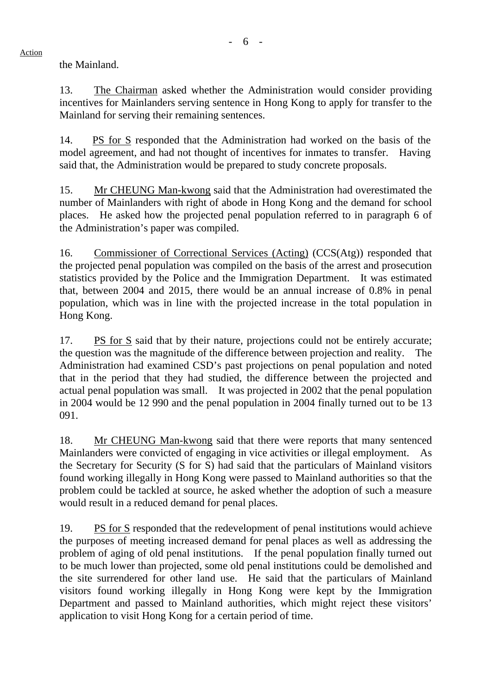the Mainland.

13. The Chairman asked whether the Administration would consider providing incentives for Mainlanders serving sentence in Hong Kong to apply for transfer to the Mainland for serving their remaining sentences.

14. PS for S responded that the Administration had worked on the basis of the model agreement, and had not thought of incentives for inmates to transfer. Having said that, the Administration would be prepared to study concrete proposals.

15. Mr CHEUNG Man-kwong said that the Administration had overestimated the number of Mainlanders with right of abode in Hong Kong and the demand for school places. He asked how the projected penal population referred to in paragraph 6 of the Administration's paper was compiled.

16. Commissioner of Correctional Services (Acting) (CCS(Atg)) responded that the projected penal population was compiled on the basis of the arrest and prosecution statistics provided by the Police and the Immigration Department. It was estimated that, between 2004 and 2015, there would be an annual increase of 0.8% in penal population, which was in line with the projected increase in the total population in Hong Kong.

17. PS for S said that by their nature, projections could not be entirely accurate; the question was the magnitude of the difference between projection and reality. The Administration had examined CSD's past projections on penal population and noted that in the period that they had studied, the difference between the projected and actual penal population was small. It was projected in 2002 that the penal population in 2004 would be 12 990 and the penal population in 2004 finally turned out to be 13 091.

18. Mr CHEUNG Man-kwong said that there were reports that many sentenced Mainlanders were convicted of engaging in vice activities or illegal employment. the Secretary for Security (S for S) had said that the particulars of Mainland visitors found working illegally in Hong Kong were passed to Mainland authorities so that the problem could be tackled at source, he asked whether the adoption of such a measure would result in a reduced demand for penal places.

19. PS for S responded that the redevelopment of penal institutions would achieve the purposes of meeting increased demand for penal places as well as addressing the problem of aging of old penal institutions. If the penal population finally turned out to be much lower than projected, some old penal institutions could be demolished and the site surrendered for other land use. He said that the particulars of Mainland visitors found working illegally in Hong Kong were kept by the Immigration Department and passed to Mainland authorities, which might reject these visitors' application to visit Hong Kong for a certain period of time.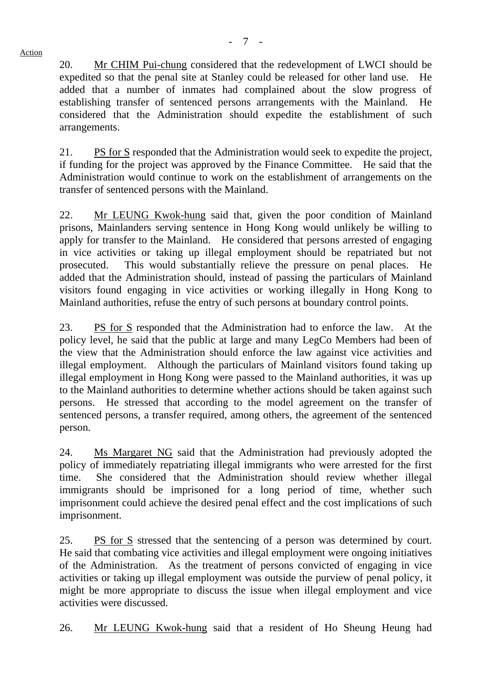20. Mr CHIM Pui-chung considered that the redevelopment of LWCI should be expedited so that the penal site at Stanley could be released for other land use. He added that a number of inmates had complained about the slow progress of establishing transfer of sentenced persons arrangements with the Mainland. He considered that the Administration should expedite the establishment of such arrangements.

21. PS for S responded that the Administration would seek to expedite the project, if funding for the project was approved by the Finance Committee. He said that the Administration would continue to work on the establishment of arrangements on the transfer of sentenced persons with the Mainland.

22. Mr LEUNG Kwok-hung said that, given the poor condition of Mainland prisons, Mainlanders serving sentence in Hong Kong would unlikely be willing to apply for transfer to the Mainland. He considered that persons arrested of engaging in vice activities or taking up illegal employment should be repatriated but not prosecuted. This would substantially relieve the pressure on penal places. He added that the Administration should, instead of passing the particulars of Mainland visitors found engaging in vice activities or working illegally in Hong Kong to Mainland authorities, refuse the entry of such persons at boundary control points.

23. PS for S responded that the Administration had to enforce the law. At the policy level, he said that the public at large and many LegCo Members had been of the view that the Administration should enforce the law against vice activities and illegal employment. Although the particulars of Mainland visitors found taking up illegal employment in Hong Kong were passed to the Mainland authorities, it was up to the Mainland authorities to determine whether actions should be taken against such persons. He stressed that according to the model agreement on the transfer of sentenced persons, a transfer required, among others, the agreement of the sentenced person.

24. Ms Margaret NG said that the Administration had previously adopted the policy of immediately repatriating illegal immigrants who were arrested for the first time. She considered that the Administration should review whether illegal immigrants should be imprisoned for a long period of time, whether such imprisonment could achieve the desired penal effect and the cost implications of such imprisonment.

25. PS for S stressed that the sentencing of a person was determined by court. He said that combating vice activities and illegal employment were ongoing initiatives of the Administration. As the treatment of persons convicted of engaging in vice activities or taking up illegal employment was outside the purview of penal policy, it might be more appropriate to discuss the issue when illegal employment and vice activities were discussed.

26. Mr LEUNG Kwok-hung said that a resident of Ho Sheung Heung had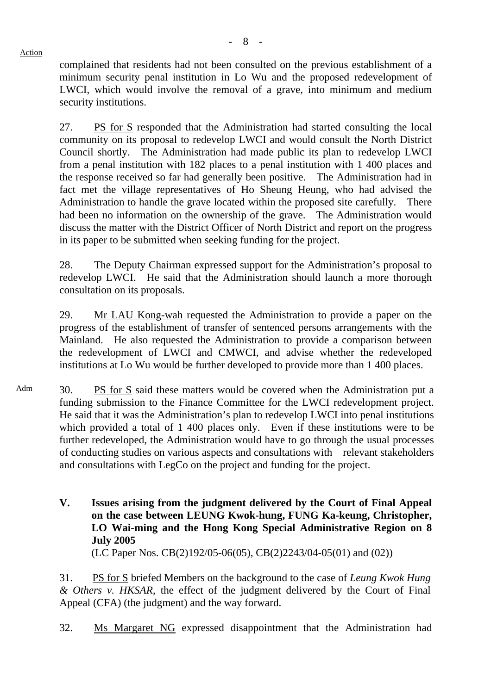complained that residents had not been consulted on the previous establishment of a minimum security penal institution in Lo Wu and the proposed redevelopment of LWCI, which would involve the removal of a grave, into minimum and medium security institutions.

27. PS for S responded that the Administration had started consulting the local community on its proposal to redevelop LWCI and would consult the North District Council shortly. The Administration had made public its plan to redevelop LWCI from a penal institution with 182 places to a penal institution with 1 400 places and the response received so far had generally been positive. The Administration had in fact met the village representatives of Ho Sheung Heung, who had advised the Administration to handle the grave located within the proposed site carefully. There had been no information on the ownership of the grave. The Administration would discuss the matter with the District Officer of North District and report on the progress in its paper to be submitted when seeking funding for the project.

28. The Deputy Chairman expressed support for the Administration's proposal to redevelop LWCI. He said that the Administration should launch a more thorough consultation on its proposals.

29. Mr LAU Kong-wah requested the Administration to provide a paper on the progress of the establishment of transfer of sentenced persons arrangements with the Mainland. He also requested the Administration to provide a comparison between the redevelopment of LWCI and CMWCI, and advise whether the redeveloped institutions at Lo Wu would be further developed to provide more than 1 400 places.

Adm 30. PS for S said these matters would be covered when the Administration put a funding submission to the Finance Committee for the LWCI redevelopment project. He said that it was the Administration's plan to redevelop LWCI into penal institutions which provided a total of 1 400 places only. Even if these institutions were to be further redeveloped, the Administration would have to go through the usual processes of conducting studies on various aspects and consultations with relevant stakeholders and consultations with LegCo on the project and funding for the project.

> **V. Issues arising from the judgment delivered by the Court of Final Appeal on the case between LEUNG Kwok-hung, FUNG Ka-keung, Christopher, LO Wai-ming and the Hong Kong Special Administrative Region on 8 July 2005**

(LC Paper Nos. CB(2)192/05-06(05), CB(2)2243/04-05(01) and (02))

31. PS for S briefed Members on the background to the case of *Leung Kwok Hung & Others v. HKSAR*, the effect of the judgment delivered by the Court of Final Appeal (CFA) (the judgment) and the way forward.

32. Ms Margaret NG expressed disappointment that the Administration had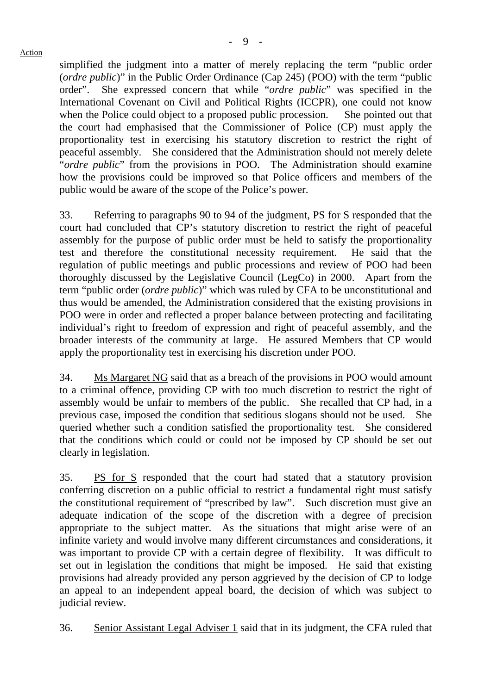simplified the judgment into a matter of merely replacing the term "public order (*ordre public*)" in the Public Order Ordinance (Cap 245) (POO) with the term "public order". She expressed concern that while "*ordre public*" was specified in the International Covenant on Civil and Political Rights (ICCPR), one could not know when the Police could object to a proposed public procession. She pointed out that the court had emphasised that the Commissioner of Police (CP) must apply the proportionality test in exercising his statutory discretion to restrict the right of peaceful assembly. She considered that the Administration should not merely delete "*ordre public*" from the provisions in POO. The Administration should examine how the provisions could be improved so that Police officers and members of the public would be aware of the scope of the Police's power.

33. Referring to paragraphs 90 to 94 of the judgment, PS for S responded that the court had concluded that CP's statutory discretion to restrict the right of peaceful assembly for the purpose of public order must be held to satisfy the proportionality test and therefore the constitutional necessity requirement. He said that the regulation of public meetings and public processions and review of POO had been thoroughly discussed by the Legislative Council (LegCo) in 2000. Apart from the term "public order (*ordre public*)" which was ruled by CFA to be unconstitutional and thus would be amended, the Administration considered that the existing provisions in POO were in order and reflected a proper balance between protecting and facilitating individual's right to freedom of expression and right of peaceful assembly, and the broader interests of the community at large. He assured Members that CP would apply the proportionality test in exercising his discretion under POO.

34. Ms Margaret NG said that as a breach of the provisions in POO would amount to a criminal offence, providing CP with too much discretion to restrict the right of assembly would be unfair to members of the public. She recalled that CP had, in a previous case, imposed the condition that seditious slogans should not be used. She queried whether such a condition satisfied the proportionality test. She considered that the conditions which could or could not be imposed by CP should be set out clearly in legislation.

35. PS for S responded that the court had stated that a statutory provision conferring discretion on a public official to restrict a fundamental right must satisfy the constitutional requirement of "prescribed by law". Such discretion must give an adequate indication of the scope of the discretion with a degree of precision appropriate to the subject matter. As the situations that might arise were of an infinite variety and would involve many different circumstances and considerations, it was important to provide CP with a certain degree of flexibility. It was difficult to set out in legislation the conditions that might be imposed. He said that existing provisions had already provided any person aggrieved by the decision of CP to lodge an appeal to an independent appeal board, the decision of which was subject to judicial review.

36. Senior Assistant Legal Adviser 1 said that in its judgment, the CFA ruled that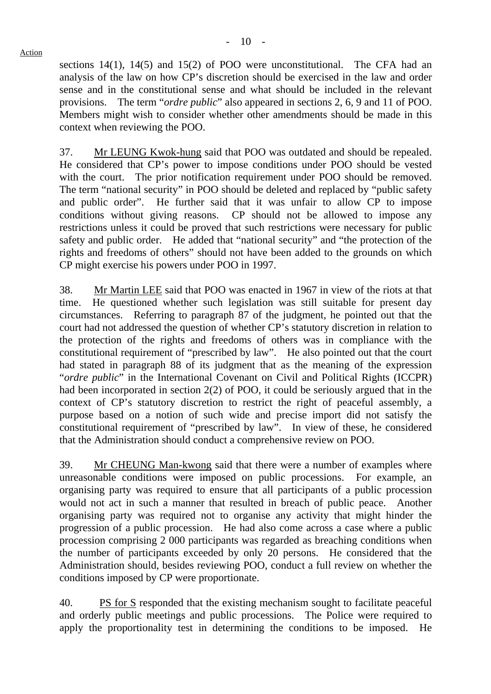sections 14(1), 14(5) and 15(2) of POO were unconstitutional. The CFA had an analysis of the law on how CP's discretion should be exercised in the law and order sense and in the constitutional sense and what should be included in the relevant provisions. The term "*ordre public*" also appeared in sections 2, 6, 9 and 11 of POO. Members might wish to consider whether other amendments should be made in this context when reviewing the POO.

37. Mr LEUNG Kwok-hung said that POO was outdated and should be repealed. He considered that CP's power to impose conditions under POO should be vested with the court. The prior notification requirement under POO should be removed. The term "national security" in POO should be deleted and replaced by "public safety and public order". He further said that it was unfair to allow CP to impose conditions without giving reasons. CP should not be allowed to impose any restrictions unless it could be proved that such restrictions were necessary for public safety and public order. He added that "national security" and "the protection of the rights and freedoms of others" should not have been added to the grounds on which CP might exercise his powers under POO in 1997.

38. Mr Martin LEE said that POO was enacted in 1967 in view of the riots at that time. He questioned whether such legislation was still suitable for present day circumstances. Referring to paragraph 87 of the judgment, he pointed out that the court had not addressed the question of whether CP's statutory discretion in relation to the protection of the rights and freedoms of others was in compliance with the constitutional requirement of "prescribed by law". He also pointed out that the court had stated in paragraph 88 of its judgment that as the meaning of the expression "*ordre public*" in the International Covenant on Civil and Political Rights (ICCPR) had been incorporated in section 2(2) of POO, it could be seriously argued that in the context of CP's statutory discretion to restrict the right of peaceful assembly, a purpose based on a notion of such wide and precise import did not satisfy the constitutional requirement of "prescribed by law". In view of these, he considered that the Administration should conduct a comprehensive review on POO.

39. Mr CHEUNG Man-kwong said that there were a number of examples where unreasonable conditions were imposed on public processions. For example, an organising party was required to ensure that all participants of a public procession would not act in such a manner that resulted in breach of public peace. Another organising party was required not to organise any activity that might hinder the progression of a public procession. He had also come across a case where a public procession comprising 2 000 participants was regarded as breaching conditions when the number of participants exceeded by only 20 persons. He considered that the Administration should, besides reviewing POO, conduct a full review on whether the conditions imposed by CP were proportionate.

40. PS for S responded that the existing mechanism sought to facilitate peaceful and orderly public meetings and public processions. The Police were required to apply the proportionality test in determining the conditions to be imposed. He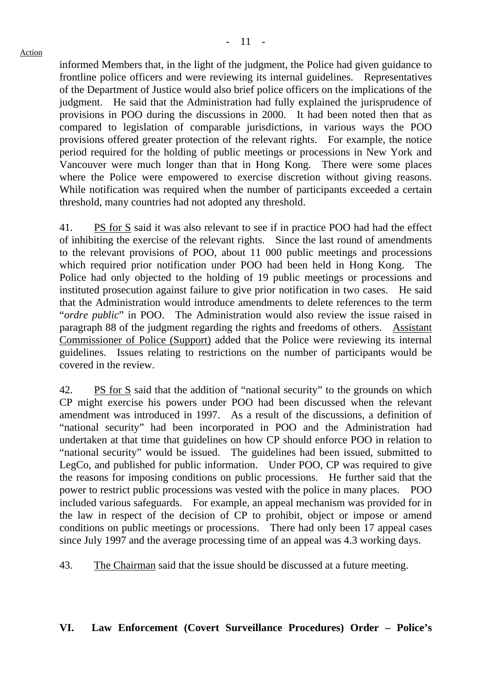informed Members that, in the light of the judgment, the Police had given guidance to frontline police officers and were reviewing its internal guidelines. Representatives of the Department of Justice would also brief police officers on the implications of the judgment. He said that the Administration had fully explained the jurisprudence of provisions in POO during the discussions in 2000. It had been noted then that as compared to legislation of comparable jurisdictions, in various ways the POO provisions offered greater protection of the relevant rights. For example, the notice period required for the holding of public meetings or processions in New York and Vancouver were much longer than that in Hong Kong. There were some places where the Police were empowered to exercise discretion without giving reasons. While notification was required when the number of participants exceeded a certain threshold, many countries had not adopted any threshold.

41. PS for S said it was also relevant to see if in practice POO had had the effect of inhibiting the exercise of the relevant rights. Since the last round of amendments to the relevant provisions of POO, about 11 000 public meetings and processions which required prior notification under POO had been held in Hong Kong. The Police had only objected to the holding of 19 public meetings or processions and instituted prosecution against failure to give prior notification in two cases. He said that the Administration would introduce amendments to delete references to the term "*ordre public*" in POO. The Administration would also review the issue raised in paragraph 88 of the judgment regarding the rights and freedoms of others. Assistant Commissioner of Police (Support) added that the Police were reviewing its internal guidelines. Issues relating to restrictions on the number of participants would be covered in the review.

42. PS for S said that the addition of "national security" to the grounds on which CP might exercise his powers under POO had been discussed when the relevant amendment was introduced in 1997. As a result of the discussions, a definition of "national security" had been incorporated in POO and the Administration had undertaken at that time that guidelines on how CP should enforce POO in relation to "national security" would be issued. The guidelines had been issued, submitted to LegCo, and published for public information. Under POO, CP was required to give the reasons for imposing conditions on public processions. He further said that the power to restrict public processions was vested with the police in many places. POO included various safeguards. For example, an appeal mechanism was provided for in the law in respect of the decision of CP to prohibit, object or impose or amend conditions on public meetings or processions. There had only been 17 appeal cases since July 1997 and the average processing time of an appeal was 4.3 working days.

43. The Chairman said that the issue should be discussed at a future meeting.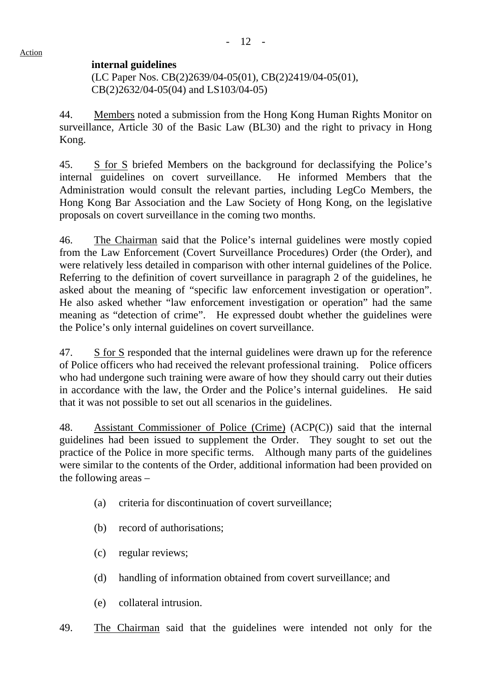### **internal guidelines**

 (LC Paper Nos. CB(2)2639/04-05(01), CB(2)2419/04-05(01), CB(2)2632/04-05(04) and LS103/04-05)

44. Members noted a submission from the Hong Kong Human Rights Monitor on surveillance, Article 30 of the Basic Law (BL30) and the right to privacy in Hong Kong.

45. S for S briefed Members on the background for declassifying the Police's internal guidelines on covert surveillance. He informed Members that the Administration would consult the relevant parties, including LegCo Members, the Hong Kong Bar Association and the Law Society of Hong Kong, on the legislative proposals on covert surveillance in the coming two months.

46. The Chairman said that the Police's internal guidelines were mostly copied from the Law Enforcement (Covert Surveillance Procedures) Order (the Order), and were relatively less detailed in comparison with other internal guidelines of the Police. Referring to the definition of covert surveillance in paragraph 2 of the guidelines, he asked about the meaning of "specific law enforcement investigation or operation". He also asked whether "law enforcement investigation or operation" had the same meaning as "detection of crime". He expressed doubt whether the guidelines were the Police's only internal guidelines on covert surveillance.

47. S for S responded that the internal guidelines were drawn up for the reference of Police officers who had received the relevant professional training. Police officers who had undergone such training were aware of how they should carry out their duties in accordance with the law, the Order and the Police's internal guidelines. He said that it was not possible to set out all scenarios in the guidelines.

48. Assistant Commissioner of Police (Crime) (ACP(C)) said that the internal guidelines had been issued to supplement the Order. They sought to set out the practice of the Police in more specific terms. Although many parts of the guidelines were similar to the contents of the Order, additional information had been provided on the following areas –

- (a) criteria for discontinuation of covert surveillance;
- (b) record of authorisations;
- (c) regular reviews;
- (d) handling of information obtained from covert surveillance; and
- (e) collateral intrusion.
- 49. The Chairman said that the guidelines were intended not only for the

Action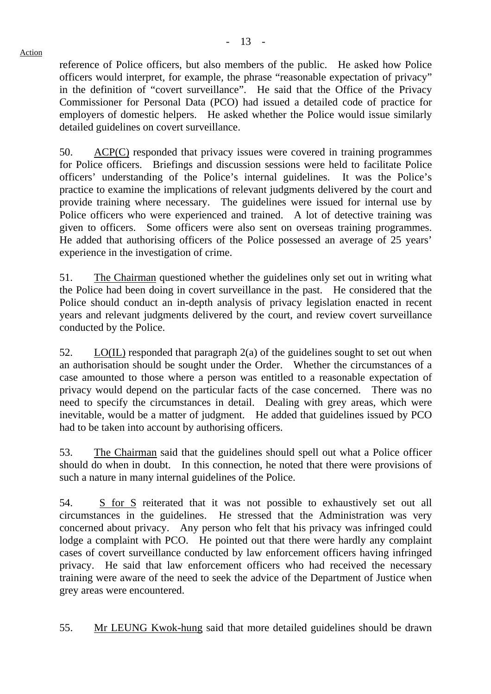reference of Police officers, but also members of the public. He asked how Police officers would interpret, for example, the phrase "reasonable expectation of privacy" in the definition of "covert surveillance". He said that the Office of the Privacy Commissioner for Personal Data (PCO) had issued a detailed code of practice for employers of domestic helpers. He asked whether the Police would issue similarly detailed guidelines on covert surveillance.

50. ACP(C) responded that privacy issues were covered in training programmes for Police officers. Briefings and discussion sessions were held to facilitate Police officers' understanding of the Police's internal guidelines. It was the Police's practice to examine the implications of relevant judgments delivered by the court and provide training where necessary. The guidelines were issued for internal use by Police officers who were experienced and trained. A lot of detective training was given to officers. Some officers were also sent on overseas training programmes. He added that authorising officers of the Police possessed an average of 25 years' experience in the investigation of crime.

51. The Chairman questioned whether the guidelines only set out in writing what the Police had been doing in covert surveillance in the past. He considered that the Police should conduct an in-depth analysis of privacy legislation enacted in recent years and relevant judgments delivered by the court, and review covert surveillance conducted by the Police.

52. LO(IL) responded that paragraph 2(a) of the guidelines sought to set out when an authorisation should be sought under the Order. Whether the circumstances of a case amounted to those where a person was entitled to a reasonable expectation of privacy would depend on the particular facts of the case concerned. There was no need to specify the circumstances in detail. Dealing with grey areas, which were inevitable, would be a matter of judgment. He added that guidelines issued by PCO had to be taken into account by authorising officers.

53. The Chairman said that the guidelines should spell out what a Police officer should do when in doubt. In this connection, he noted that there were provisions of such a nature in many internal guidelines of the Police.

54. S for S reiterated that it was not possible to exhaustively set out all circumstances in the guidelines. He stressed that the Administration was very concerned about privacy. Any person who felt that his privacy was infringed could lodge a complaint with PCO. He pointed out that there were hardly any complaint cases of covert surveillance conducted by law enforcement officers having infringed privacy. He said that law enforcement officers who had received the necessary training were aware of the need to seek the advice of the Department of Justice when grey areas were encountered.

55. Mr LEUNG Kwok-hung said that more detailed guidelines should be drawn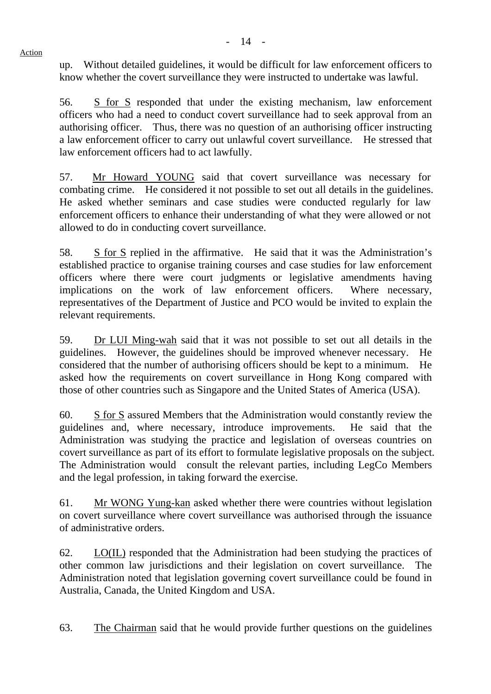up. Without detailed guidelines, it would be difficult for law enforcement officers to know whether the covert surveillance they were instructed to undertake was lawful.

56. S for S responded that under the existing mechanism, law enforcement officers who had a need to conduct covert surveillance had to seek approval from an authorising officer. Thus, there was no question of an authorising officer instructing a law enforcement officer to carry out unlawful covert surveillance. He stressed that law enforcement officers had to act lawfully.

57. Mr Howard YOUNG said that covert surveillance was necessary for combating crime. He considered it not possible to set out all details in the guidelines. He asked whether seminars and case studies were conducted regularly for law enforcement officers to enhance their understanding of what they were allowed or not allowed to do in conducting covert surveillance.

58. S for S replied in the affirmative. He said that it was the Administration's established practice to organise training courses and case studies for law enforcement officers where there were court judgments or legislative amendments having implications on the work of law enforcement officers. Where necessary, representatives of the Department of Justice and PCO would be invited to explain the relevant requirements.

59. Dr LUI Ming-wah said that it was not possible to set out all details in the guidelines. However, the guidelines should be improved whenever necessary. He considered that the number of authorising officers should be kept to a minimum. He asked how the requirements on covert surveillance in Hong Kong compared with those of other countries such as Singapore and the United States of America (USA).

60. S for S assured Members that the Administration would constantly review the guidelines and, where necessary, introduce improvements. He said that the Administration was studying the practice and legislation of overseas countries on covert surveillance as part of its effort to formulate legislative proposals on the subject. The Administration would consult the relevant parties, including LegCo Members and the legal profession, in taking forward the exercise.

61. Mr WONG Yung-kan asked whether there were countries without legislation on covert surveillance where covert surveillance was authorised through the issuance of administrative orders.

62. LO(IL) responded that the Administration had been studying the practices of other common law jurisdictions and their legislation on covert surveillance. The Administration noted that legislation governing covert surveillance could be found in Australia, Canada, the United Kingdom and USA.

63. The Chairman said that he would provide further questions on the guidelines